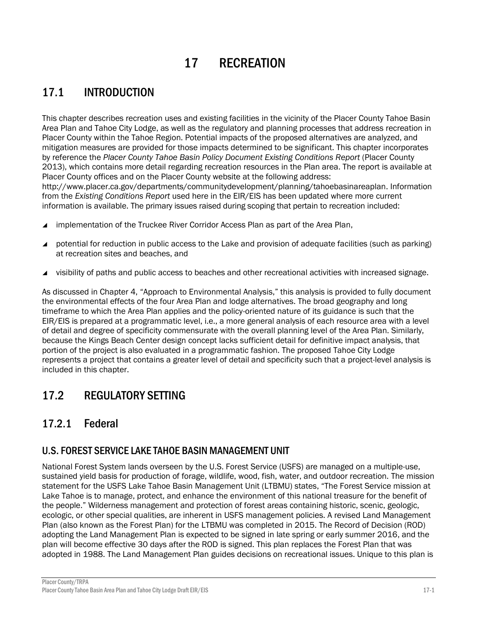# 17 RECREATION

# 17.1 INTRODUCTION

This chapter describes recreation uses and existing facilities in the vicinity of the Placer County Tahoe Basin Area Plan and Tahoe City Lodge, as well as the regulatory and planning processes that address recreation in Placer County within the Tahoe Region. Potential impacts of the proposed alternatives are analyzed, and mitigation measures are provided for those impacts determined to be significant. This chapter incorporates by reference the *Placer County Tahoe Basin Policy Document Existing Conditions Report* (Placer County 2013), which contains more detail regarding recreation resources in the Plan area. The report is available at Placer County offices and on the Placer County website at the following address: http://www.placer.ca.gov/departments/communitydevelopment/planning/tahoebasinareaplan. Information from the *Existing Conditions Report* used here in the EIR/EIS has been updated where more current information is available. The primary issues raised during scoping that pertain to recreation included:

- implementation of the Truckee River Corridor Access Plan as part of the Area Plan,
- potential for reduction in public access to the Lake and provision of adequate facilities (such as parking) at recreation sites and beaches, and
- visibility of paths and public access to beaches and other recreational activities with increased signage.

As discussed in Chapter 4, "Approach to Environmental Analysis," this analysis is provided to fully document the environmental effects of the four Area Plan and lodge alternatives. The broad geography and long timeframe to which the Area Plan applies and the policy-oriented nature of its guidance is such that the EIR/EIS is prepared at a programmatic level, i.e., a more general analysis of each resource area with a level of detail and degree of specificity commensurate with the overall planning level of the Area Plan. Similarly, because the Kings Beach Center design concept lacks sufficient detail for definitive impact analysis, that portion of the project is also evaluated in a programmatic fashion. The proposed Tahoe City Lodge represents a project that contains a greater level of detail and specificity such that a project-level analysis is included in this chapter.

# 17.2 REGULATORY SETTING

# 17.2.1 Federal

## U.S. FOREST SERVICE LAKE TAHOE BASIN MANAGEMENT UNIT

National Forest System lands overseen by the U.S. Forest Service (USFS) are managed on a multiple-use, sustained yield basis for production of forage, wildlife, wood, fish, water, and outdoor recreation. The mission statement for the USFS Lake Tahoe Basin Management Unit (LTBMU) states, "The Forest Service mission at Lake Tahoe is to manage, protect, and enhance the environment of this national treasure for the benefit of the people." Wilderness management and protection of forest areas containing historic, scenic, geologic, ecologic, or other special qualities, are inherent in USFS management policies. A revised Land Management Plan (also known as the Forest Plan) for the LTBMU was completed in 2015. The Record of Decision (ROD) adopting the Land Management Plan is expected to be signed in late spring or early summer 2016, and the plan will become effective 30 days after the ROD is signed. This plan replaces the Forest Plan that was adopted in 1988. The Land Management Plan guides decisions on recreational issues. Unique to this plan is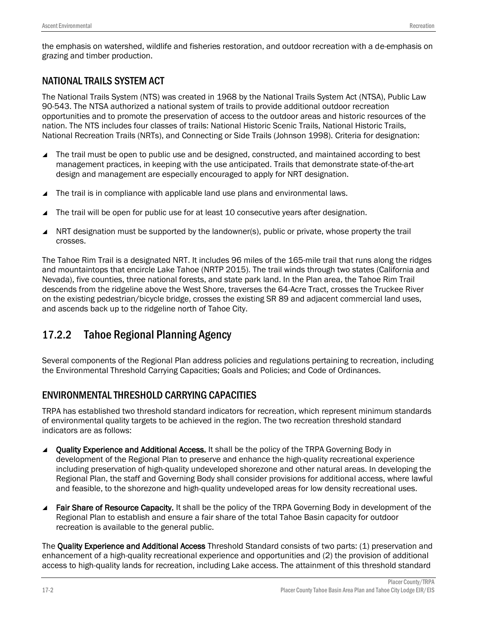# NATIONAL TRAILS SYSTEM ACT

The National Trails System (NTS) was created in 1968 by the National Trails System Act (NTSA), Public Law 90-543. The NTSA authorized a national system of trails to provide additional outdoor recreation opportunities and to promote the preservation of access to the outdoor areas and historic resources of the nation. The NTS includes four classes of trails: National Historic Scenic Trails, National Historic Trails, National Recreation Trails (NRTs), and Connecting or Side Trails (Johnson 1998). Criteria for designation:

- The trail must be open to public use and be designed, constructed, and maintained according to best management practices, in keeping with the use anticipated. Trails that demonstrate state-of-the-art design and management are especially encouraged to apply for NRT designation.
- The trail is in compliance with applicable land use plans and environmental laws.
- The trail will be open for public use for at least 10 consecutive years after designation.
- NRT designation must be supported by the landowner(s), public or private, whose property the trail crosses.

The Tahoe Rim Trail is a designated NRT. It includes 96 miles of the 165-mile trail that runs along the ridges and mountaintops that encircle Lake Tahoe (NRTP 2015). The trail winds through two states (California and Nevada), five counties, three national forests, and state park land. In the Plan area, the Tahoe Rim Trail descends from the ridgeline above the West Shore, traverses the 64-Acre Tract, crosses the Truckee River on the existing pedestrian/bicycle bridge, crosses the existing SR 89 and adjacent commercial land uses, and ascends back up to the ridgeline north of Tahoe City.

# 17.2.2 Tahoe Regional Planning Agency

Several components of the Regional Plan address policies and regulations pertaining to recreation, including the Environmental Threshold Carrying Capacities; Goals and Policies; and Code of Ordinances.

## ENVIRONMENTAL THRESHOLD CARRYING CAPACITIES

TRPA has established two threshold standard indicators for recreation, which represent minimum standards of environmental quality targets to be achieved in the region. The two recreation threshold standard indicators are as follows:

- ▲ Quality Experience and Additional Access. It shall be the policy of the TRPA Governing Body in development of the Regional Plan to preserve and enhance the high-quality recreational experience including preservation of high-quality undeveloped shorezone and other natural areas. In developing the Regional Plan, the staff and Governing Body shall consider provisions for additional access, where lawful and feasible, to the shorezone and high-quality undeveloped areas for low density recreational uses.
- Fair Share of Resource Capacity. It shall be the policy of the TRPA Governing Body in development of the Regional Plan to establish and ensure a fair share of the total Tahoe Basin capacity for outdoor recreation is available to the general public.

The Quality Experience and Additional Access Threshold Standard consists of two parts: (1) preservation and enhancement of a high-quality recreational experience and opportunities and (2) the provision of additional access to high-quality lands for recreation, including Lake access. The attainment of this threshold standard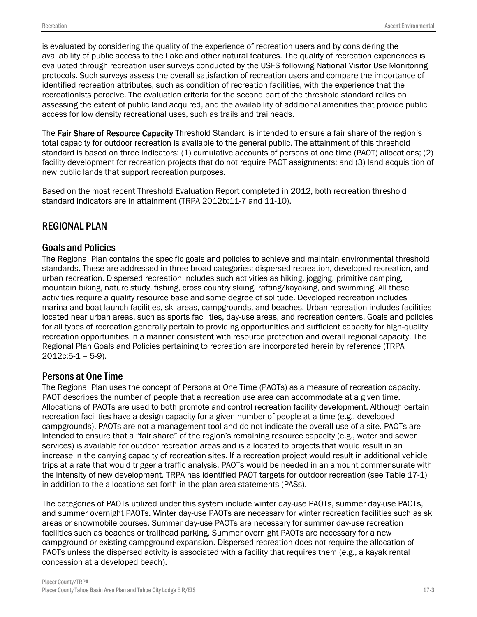is evaluated by considering the quality of the experience of recreation users and by considering the availability of public access to the Lake and other natural features. The quality of recreation experiences is evaluated through recreation user surveys conducted by the USFS following National Visitor Use Monitoring protocols. Such surveys assess the overall satisfaction of recreation users and compare the importance of identified recreation attributes, such as condition of recreation facilities, with the experience that the recreationists perceive. The evaluation criteria for the second part of the threshold standard relies on assessing the extent of public land acquired, and the availability of additional amenities that provide public access for low density recreational uses, such as trails and trailheads.

The Fair Share of Resource Capacity Threshold Standard is intended to ensure a fair share of the region's total capacity for outdoor recreation is available to the general public. The attainment of this threshold standard is based on three indicators: (1) cumulative accounts of persons at one time (PAOT) allocations; (2) facility development for recreation projects that do not require PAOT assignments; and (3) land acquisition of new public lands that support recreation purposes.

Based on the most recent Threshold Evaluation Report completed in 2012, both recreation threshold standard indicators are in attainment (TRPA 2012b:11-7 and 11-10).

## REGIONAL PLAN

## Goals and Policies

The Regional Plan contains the specific goals and policies to achieve and maintain environmental threshold standards. These are addressed in three broad categories: dispersed recreation, developed recreation, and urban recreation. Dispersed recreation includes such activities as hiking, jogging, primitive camping, mountain biking, nature study, fishing, cross country skiing, rafting/kayaking, and swimming. All these activities require a quality resource base and some degree of solitude. Developed recreation includes marina and boat launch facilities, ski areas, campgrounds, and beaches. Urban recreation includes facilities located near urban areas, such as sports facilities, day-use areas, and recreation centers. Goals and policies for all types of recreation generally pertain to providing opportunities and sufficient capacity for high-quality recreation opportunities in a manner consistent with resource protection and overall regional capacity. The Regional Plan Goals and Policies pertaining to recreation are incorporated herein by reference (TRPA 2012c:5-1 – 5-9).

## Persons at One Time

The Regional Plan uses the concept of Persons at One Time (PAOTs) as a measure of recreation capacity. PAOT describes the number of people that a recreation use area can accommodate at a given time. Allocations of PAOTs are used to both promote and control recreation facility development. Although certain recreation facilities have a design capacity for a given number of people at a time (e.g., developed campgrounds), PAOTs are not a management tool and do not indicate the overall use of a site. PAOTs are intended to ensure that a "fair share" of the region's remaining resource capacity (e.g., water and sewer services) is available for outdoor recreation areas and is allocated to projects that would result in an increase in the carrying capacity of recreation sites. If a recreation project would result in additional vehicle trips at a rate that would trigger a traffic analysis, PAOTs would be needed in an amount commensurate with the intensity of new development. TRPA has identified PAOT targets for outdoor recreation (see Table 17-1) in addition to the allocations set forth in the plan area statements (PASs).

The categories of PAOTs utilized under this system include winter day-use PAOTs, summer day-use PAOTs, and summer overnight PAOTs. Winter day-use PAOTs are necessary for winter recreation facilities such as ski areas or snowmobile courses. Summer day-use PAOTs are necessary for summer day-use recreation facilities such as beaches or trailhead parking. Summer overnight PAOTs are necessary for a new campground or existing campground expansion. Dispersed recreation does not require the allocation of PAOTs unless the dispersed activity is associated with a facility that requires them (e.g., a kayak rental concession at a developed beach).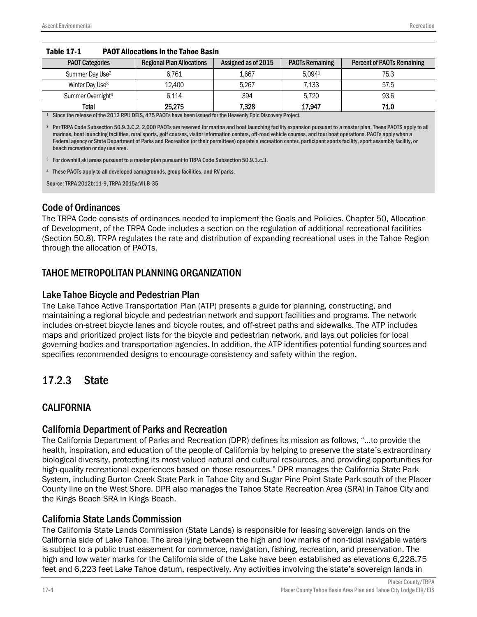| <b>PAOT Categories</b>        | <b>Regional Plan Allocations</b> | Assigned as of 2015 | <b>PAOTs Remaining</b> | <b>Percent of PAOTs Remaining</b> |
|-------------------------------|----------------------------------|---------------------|------------------------|-----------------------------------|
| Summer Day Use <sup>2</sup>   | 6.761                            | 1.667               | 5.0941                 | 75.3                              |
| Winter Day Use <sup>3</sup>   | 12,400                           | 5.267               | 7.133                  | 57.5                              |
| Summer Overnight <sup>4</sup> | 6.114                            | 394                 | 5.720                  | 93.6                              |
| <b>Total</b>                  | 25,275                           | 7,328               | 17,947                 | 71.0                              |

#### Table 17-1 PAOT Allocations in the Tahoe Basin

<sup>1</sup> Since the release of the 2012 RPU DEIS, 475 PAOTs have been issued for the Heavenly Epic Discovery Project.

<sup>2</sup> Per TRPA Code Subsection 50.9.3.C.2, 2,000 PAOTs are reserved for marina and boat launching facility expansion pursuant to a master plan. These PAOTS apply to all marinas, boat launching facilities, rural sports, golf courses, visitor information centers, off-road vehicle courses, and tour boat operations. PAOTs apply when a Federal agency or State Department of Parks and Recreation (or their permittees) operate a recreation center, participant sports facility, sport assembly facility, or beach recreation or day use area.

<sup>3</sup> For downhill ski areas pursuant to a master plan pursuant to TRPA Code Subsection 50.9.3.c.3.

<sup>4</sup> These PAOTs apply to all developed campgrounds, group facilities, and RV parks.

Source: TRPA 2012b:11-9, TRPA 2015a:VII.B-35

## Code of Ordinances

The TRPA Code consists of ordinances needed to implement the Goals and Policies. Chapter 50, Allocation of Development, of the TRPA Code includes a section on the regulation of additional recreational facilities (Section 50.8). TRPA regulates the rate and distribution of expanding recreational uses in the Tahoe Region through the allocation of PAOTs.

## TAHOE METROPOLITAN PLANNING ORGANIZATION

## Lake Tahoe Bicycle and Pedestrian Plan

The Lake Tahoe Active Transportation Plan (ATP) presents a guide for planning, constructing, and maintaining a regional bicycle and pedestrian network and support facilities and programs. The network includes on-street bicycle lanes and bicycle routes, and off-street paths and sidewalks. The ATP includes maps and prioritized project lists for the bicycle and pedestrian network, and lays out policies for local governing bodies and transportation agencies. In addition, the ATP identifies potential funding sources and specifies recommended designs to encourage consistency and safety within the region.

# 17.2.3 State

## CALIFORNIA

## California Department of Parks and Recreation

The California Department of Parks and Recreation (DPR) defines its mission as follows, "…to provide the health, inspiration, and education of the people of California by helping to preserve the state's extraordinary biological diversity, protecting its most valued natural and cultural resources, and providing opportunities for high-quality recreational experiences based on those resources." DPR manages the California State Park System, including Burton Creek State Park in Tahoe City and Sugar Pine Point State Park south of the Placer County line on the West Shore. DPR also manages the Tahoe State Recreation Area (SRA) in Tahoe City and the Kings Beach SRA in Kings Beach.

## California State Lands Commission

The California State Lands Commission (State Lands) is responsible for leasing sovereign lands on the California side of Lake Tahoe. The area lying between the high and low marks of non-tidal navigable waters is subject to a public trust easement for commerce, navigation, fishing, recreation, and preservation. The high and low water marks for the California side of the Lake have been established as elevations 6,228.75 feet and 6,223 feet Lake Tahoe datum, respectively. Any activities involving the state's sovereign lands in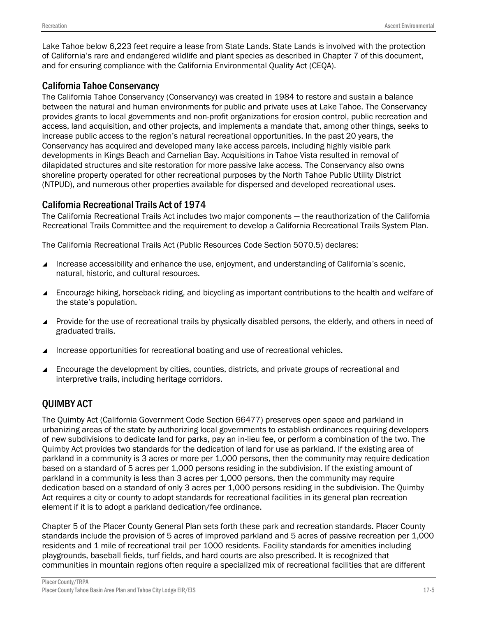Lake Tahoe below 6,223 feet require a lease from State Lands. State Lands is involved with the protection of California's rare and endangered wildlife and plant species as described in Chapter 7 of this document, and for ensuring compliance with the California Environmental Quality Act (CEQA).

## California Tahoe Conservancy

The California Tahoe Conservancy (Conservancy) was created in 1984 to restore and sustain a balance between the natural and human environments for public and private uses at Lake Tahoe. The Conservancy provides grants to local governments and non-profit organizations for erosion control, public recreation and access, land acquisition, and other projects, and implements a mandate that, among other things, seeks to increase public access to the region's natural recreational opportunities. In the past 20 years, the Conservancy has acquired and developed many lake access parcels, including highly visible park developments in Kings Beach and Carnelian Bay. Acquisitions in Tahoe Vista resulted in removal of dilapidated structures and site restoration for more passive lake access. The Conservancy also owns shoreline property operated for other recreational purposes by the North Tahoe Public Utility District (NTPUD), and numerous other properties available for dispersed and developed recreational uses.

## California Recreational Trails Act of 1974

The California Recreational Trails Act includes two major components — the reauthorization of the California Recreational Trails Committee and the requirement to develop a California Recreational Trails System Plan.

The California Recreational Trails Act (Public Resources Code Section 5070.5) declares:

- Increase accessibility and enhance the use, enjoyment, and understanding of California's scenic, natural, historic, and cultural resources.
- Encourage hiking, horseback riding, and bicycling as important contributions to the health and welfare of the state's population.
- ▲ Provide for the use of recreational trails by physically disabled persons, the elderly, and others in need of graduated trails.
- Increase opportunities for recreational boating and use of recreational vehicles.
- Encourage the development by cities, counties, districts, and private groups of recreational and interpretive trails, including heritage corridors.

## QUIMBY ACT

The Quimby Act (California Government Code Section 66477) preserves open space and parkland in urbanizing areas of the state by authorizing local governments to establish ordinances requiring developers of new subdivisions to dedicate land for parks, pay an in-lieu fee, or perform a combination of the two. The Quimby Act provides two standards for the dedication of land for use as parkland. If the existing area of parkland in a community is 3 acres or more per 1,000 persons, then the community may require dedication based on a standard of 5 acres per 1,000 persons residing in the subdivision. If the existing amount of parkland in a community is less than 3 acres per 1,000 persons, then the community may require dedication based on a standard of only 3 acres per 1,000 persons residing in the subdivision. The Quimby Act requires a city or county to adopt standards for recreational facilities in its general plan recreation element if it is to adopt a parkland dedication/fee ordinance.

Chapter 5 of the Placer County General Plan sets forth these park and recreation standards. Placer County standards include the provision of 5 acres of improved parkland and 5 acres of passive recreation per 1,000 residents and 1 mile of recreational trail per 1000 residents. Facility standards for amenities including playgrounds, baseball fields, turf fields, and hard courts are also prescribed. It is recognized that communities in mountain regions often require a specialized mix of recreational facilities that are different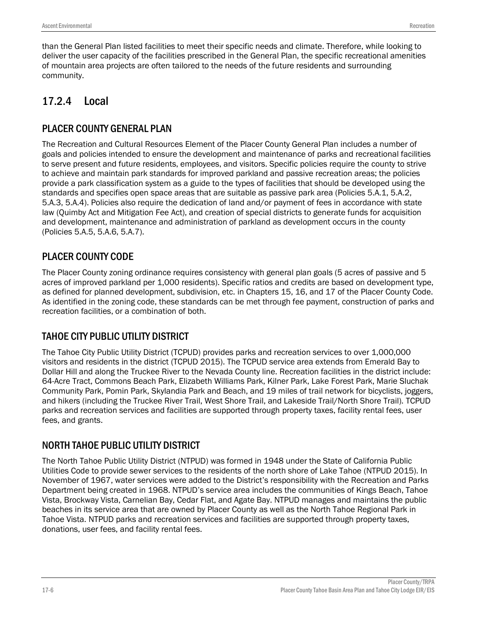than the General Plan listed facilities to meet their specific needs and climate. Therefore, while looking to deliver the user capacity of the facilities prescribed in the General Plan, the specific recreational amenities of mountain area projects are often tailored to the needs of the future residents and surrounding community.

# 17.2.4 Local

# PLACER COUNTY GENERAL PLAN

The Recreation and Cultural Resources Element of the Placer County General Plan includes a number of goals and policies intended to ensure the development and maintenance of parks and recreational facilities to serve present and future residents, employees, and visitors. Specific policies require the county to strive to achieve and maintain park standards for improved parkland and passive recreation areas; the policies provide a park classification system as a guide to the types of facilities that should be developed using the standards and specifies open space areas that are suitable as passive park area (Policies 5.A.1, 5.A.2, 5.A.3, 5.A.4). Policies also require the dedication of land and/or payment of fees in accordance with state law (Quimby Act and Mitigation Fee Act), and creation of special districts to generate funds for acquisition and development, maintenance and administration of parkland as development occurs in the county (Policies 5.A.5, 5.A.6, 5.A.7).

# PLACER COUNTY CODE

The Placer County zoning ordinance requires consistency with general plan goals (5 acres of passive and 5 acres of improved parkland per 1,000 residents). Specific ratios and credits are based on development type, as defined for planned development, subdivision, etc. in Chapters 15, 16, and 17 of the Placer County Code. As identified in the zoning code, these standards can be met through fee payment, construction of parks and recreation facilities, or a combination of both.

# TAHOE CITY PUBLIC UTILITY DISTRICT

The Tahoe City Public Utility District (TCPUD) provides parks and recreation services to over 1,000,000 visitors and residents in the district (TCPUD 2015). The TCPUD service area extends from Emerald Bay to Dollar Hill and along the Truckee River to the Nevada County line. Recreation facilities in the district include: 64-Acre Tract, Commons Beach Park, Elizabeth Williams Park, Kilner Park, Lake Forest Park, Marie Sluchak Community Park, Pomin Park, Skylandia Park and Beach, and 19 miles of trail network for bicyclists, joggers, and hikers (including the Truckee River Trail, West Shore Trail, and Lakeside Trail/North Shore Trail). TCPUD parks and recreation services and facilities are supported through property taxes, facility rental fees, user fees, and grants.

## NORTH TAHOE PUBLIC UTILITY DISTRICT

The North Tahoe Public Utility District (NTPUD) was formed in 1948 under the State of California Public Utilities Code to provide sewer services to the residents of the north shore of Lake Tahoe (NTPUD 2015). In November of 1967, water services were added to the District's responsibility with the Recreation and Parks Department being created in 1968. NTPUD's service area includes the communities of Kings Beach, Tahoe Vista, Brockway Vista, Carnelian Bay, Cedar Flat, and Agate Bay. NTPUD manages and maintains the public beaches in its service area that are owned by Placer County as well as the North Tahoe Regional Park in Tahoe Vista. NTPUD parks and recreation services and facilities are supported through property taxes, donations, user fees, and facility rental fees.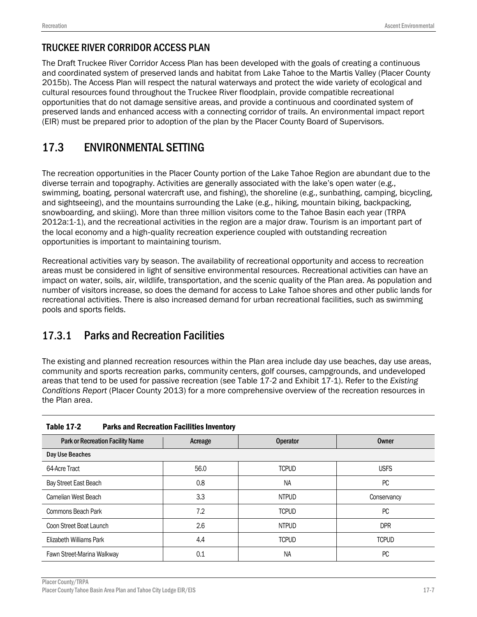# TRUCKEE RIVER CORRIDOR ACCESS PLAN

The Draft Truckee River Corridor Access Plan has been developed with the goals of creating a continuous and coordinated system of preserved lands and habitat from Lake Tahoe to the Martis Valley (Placer County 2015b). The Access Plan will respect the natural waterways and protect the wide variety of ecological and cultural resources found throughout the Truckee River floodplain, provide compatible recreational opportunities that do not damage sensitive areas, and provide a continuous and coordinated system of preserved lands and enhanced access with a connecting corridor of trails. An environmental impact report (EIR) must be prepared prior to adoption of the plan by the Placer County Board of Supervisors.

# 17.3 ENVIRONMENTAL SETTING

The recreation opportunities in the Placer County portion of the Lake Tahoe Region are abundant due to the diverse terrain and topography. Activities are generally associated with the lake's open water (e.g., swimming, boating, personal watercraft use, and fishing), the shoreline (e.g., sunbathing, camping, bicycling, and sightseeing), and the mountains surrounding the Lake (e.g., hiking, mountain biking, backpacking, snowboarding, and skiing). More than three million visitors come to the Tahoe Basin each year (TRPA 2012a:1-1), and the recreational activities in the region are a major draw. Tourism is an important part of the local economy and a high‐quality recreation experience coupled with outstanding recreation opportunities is important to maintaining tourism.

Recreational activities vary by season. The availability of recreational opportunity and access to recreation areas must be considered in light of sensitive environmental resources. Recreational activities can have an impact on water, soils, air, wildlife, transportation, and the scenic quality of the Plan area. As population and number of visitors increase, so does the demand for access to Lake Tahoe shores and other public lands for recreational activities. There is also increased demand for urban recreational facilities, such as swimming pools and sports fields.

# 17.3.1 Parks and Recreation Facilities

The existing and planned recreation resources within the Plan area include day use beaches, day use areas, community and sports recreation parks, community centers, golf courses, campgrounds, and undeveloped areas that tend to be used for passive recreation (see Table 17-2 and Exhibit 17-1). Refer to the *Existing Conditions Report* (Placer County 2013) for a more comprehensive overview of the recreation resources in the Plan area.

| .ww.v -. -<br><u>. who when nooroweren rivermered involvery</u> |         |                 |              |
|-----------------------------------------------------------------|---------|-----------------|--------------|
| <b>Park or Recreation Facility Name</b>                         | Acreage | <b>Operator</b> | <b>Owner</b> |
| Day Use Beaches                                                 |         |                 |              |
| 64-Acre Tract                                                   | 56.0    | <b>TCPUD</b>    | <b>USFS</b>  |
| Bay Street East Beach                                           | 0.8     | <b>NA</b>       | PC           |
| Carnelian West Beach                                            | 3.3     | <b>NTPUD</b>    | Conservancy  |
| Commons Beach Park                                              | 7.2     | <b>TCPUD</b>    | PC           |
| Coon Street Boat Launch                                         | 2.6     | <b>NTPUD</b>    | <b>DPR</b>   |
| Elizabeth Williams Park                                         | 4.4     | <b>TCPUD</b>    | <b>TCPUD</b> |
| Fawn Street-Marina Walkway                                      | 0.1     | <b>NA</b>       | PC           |

| <b>Table 17-2</b> | <b>Parks and Recreation Facilities Inventory</b> |
|-------------------|--------------------------------------------------|
|                   |                                                  |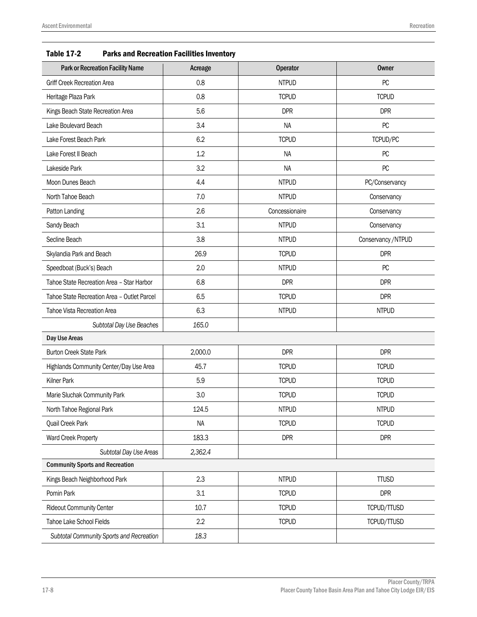| Table 17-2<br>Parks and Recreation Facilities inventory |         |                 |                    |
|---------------------------------------------------------|---------|-----------------|--------------------|
| <b>Park or Recreation Facility Name</b>                 | Acreage | <b>Operator</b> | <b>Owner</b>       |
| <b>Griff Creek Recreation Area</b>                      | 0.8     | <b>NTPUD</b>    | PC                 |
| Heritage Plaza Park                                     | 0.8     | <b>TCPUD</b>    | <b>TCPUD</b>       |
| Kings Beach State Recreation Area                       | 5.6     | <b>DPR</b>      | <b>DPR</b>         |
| Lake Boulevard Beach                                    | 3.4     | <b>NA</b>       | PC                 |
| Lake Forest Beach Park                                  | 6.2     | <b>TCPUD</b>    | TCPUD/PC           |
| Lake Forest II Beach                                    | 1.2     | <b>NA</b>       | PC                 |
| Lakeside Park                                           | 3.2     | <b>NA</b>       | PC                 |
| Moon Dunes Beach                                        | 4.4     | <b>NTPUD</b>    | PC/Conservancy     |
| North Tahoe Beach                                       | 7.0     | <b>NTPUD</b>    | Conservancy        |
| Patton Landing                                          | 2.6     | Concessionaire  | Conservancy        |
| Sandy Beach                                             | 3.1     | <b>NTPUD</b>    | Conservancy        |
| Secline Beach                                           | 3.8     | <b>NTPUD</b>    | Conservancy /NTPUD |
| Skylandia Park and Beach                                | 26.9    | <b>TCPUD</b>    | <b>DPR</b>         |
| Speedboat (Buck's) Beach                                | 2.0     | <b>NTPUD</b>    | PC                 |
| Tahoe State Recreation Area - Star Harbor               | 6.8     | <b>DPR</b>      | <b>DPR</b>         |
| Tahoe State Recreation Area - Outlet Parcel             | 6.5     | <b>TCPUD</b>    | <b>DPR</b>         |
| Tahoe Vista Recreation Area                             | 6.3     | <b>NTPUD</b>    | <b>NTPUD</b>       |
| Subtotal Day Use Beaches                                | 165.0   |                 |                    |
| Day Use Areas                                           |         |                 |                    |
| <b>Burton Creek State Park</b>                          | 2,000.0 | <b>DPR</b>      | <b>DPR</b>         |
| Highlands Community Center/Day Use Area                 | 45.7    | <b>TCPUD</b>    | <b>TCPUD</b>       |
| Kilner Park                                             | 5.9     | <b>TCPUD</b>    | <b>TCPUD</b>       |
| Marie Sluchak Community Park                            | 3.0     | <b>TCPUD</b>    | <b>TCPUD</b>       |
| North Tahoe Regional Park                               | 124.5   | <b>NTPUD</b>    | <b>NTPUD</b>       |
| Quail Creek Park                                        | NA      | <b>TCPUD</b>    | <b>TCPUD</b>       |
| Ward Creek Property                                     | 183.3   | <b>DPR</b>      | <b>DPR</b>         |
| Subtotal Day Use Areas                                  | 2,362.4 |                 |                    |
| <b>Community Sports and Recreation</b>                  |         |                 |                    |
| Kings Beach Neighborhood Park                           | 2.3     | <b>NTPUD</b>    | <b>TTUSD</b>       |
| Pomin Park                                              | 3.1     | <b>TCPUD</b>    | <b>DPR</b>         |
| <b>Rideout Community Center</b>                         | 10.7    | <b>TCPUD</b>    | TCPUD/TTUSD        |
| Tahoe Lake School Fields                                | 2.2     | <b>TCPUD</b>    | TCPUD/TTUSD        |

| <b>Table 17-2</b> | <b>Parks and Recreation Facilities Inventory</b> |
|-------------------|--------------------------------------------------|
|-------------------|--------------------------------------------------|

*Subtotal Community Sports and Recreation 18.3*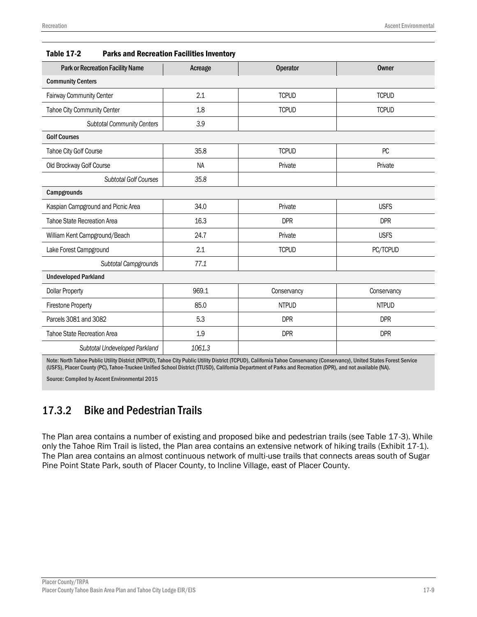| <b>Park or Recreation Facility Name</b> | Acreage   | <b>Operator</b> | Owner        |  |
|-----------------------------------------|-----------|-----------------|--------------|--|
| <b>Community Centers</b>                |           |                 |              |  |
| Fairway Community Center                | 2.1       | <b>TCPUD</b>    | <b>TCPUD</b> |  |
| Tahoe City Community Center             | 1.8       | <b>TCPUD</b>    | <b>TCPUD</b> |  |
| <b>Subtotal Community Centers</b>       | 3.9       |                 |              |  |
| <b>Golf Courses</b>                     |           |                 |              |  |
| Tahoe City Golf Course                  | 35.8      | <b>TCPUD</b>    | PC           |  |
| Old Brockway Golf Course                | <b>NA</b> | Private         | Private      |  |
| <b>Subtotal Golf Courses</b>            | 35.8      |                 |              |  |
| Campgrounds                             |           |                 |              |  |
| Kaspian Campground and Picnic Area      | 34.0      | Private         | <b>USFS</b>  |  |
| Tahoe State Recreation Area             | 16.3      | <b>DPR</b>      | <b>DPR</b>   |  |
| William Kent Campground/Beach           | 24.7      | Private         | <b>USFS</b>  |  |
| Lake Forest Campground                  | 2.1       | <b>TCPUD</b>    | PC/TCPUD     |  |
| Subtotal Campgrounds                    | 77.1      |                 |              |  |
| <b>Undeveloped Parkland</b>             |           |                 |              |  |
| <b>Dollar Property</b>                  | 969.1     | Conservancy     | Conservancy  |  |
| <b>Firestone Property</b>               | 85.0      | <b>NTPUD</b>    | <b>NTPUD</b> |  |
| Parcels 3081 and 3082                   | 5.3       | <b>DPR</b>      | <b>DPR</b>   |  |
| <b>Tahoe State Recreation Area</b>      | 1.9       | <b>DPR</b>      | <b>DPR</b>   |  |
| Subtotal Undeveloped Parkland           | 1061.3    |                 |              |  |

| <b>Table 17-2</b> | <b>Parks and Recreation Facilities Inventory</b> |  |
|-------------------|--------------------------------------------------|--|
|                   |                                                  |  |

Note: North Tahoe Public Utility District (NTPUD), Tahoe City Public Utility District (TCPUD), California Tahoe Conservancy (Conservancy), United States Forest Service (USFS), Placer County (PC), Tahoe-Truckee Unified School District (TTUSD), California Department of Parks and Recreation (DPR), and not available (NA).

Source: Compiled by Ascent Environmental 2015

# 17.3.2 Bike and Pedestrian Trails

The Plan area contains a number of existing and proposed bike and pedestrian trails (see Table 17-3). While only the Tahoe Rim Trail is listed, the Plan area contains an extensive network of hiking trails (Exhibit 17-1). The Plan area contains an almost continuous network of multi-use trails that connects areas south of Sugar Pine Point State Park, south of Placer County, to Incline Village, east of Placer County.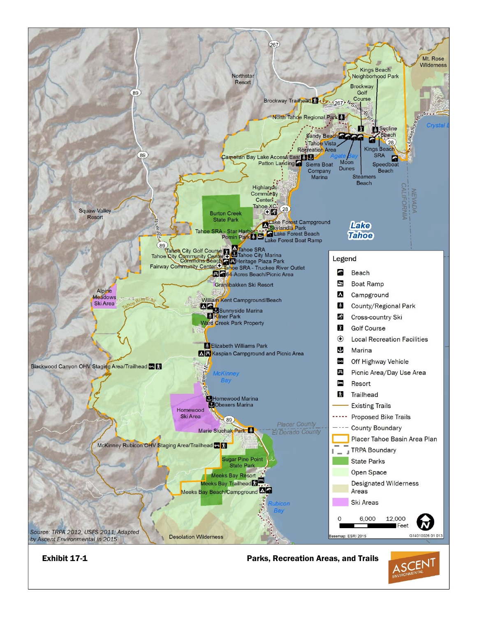

17-10 Placer County Tahoe Basin Area Plan and Tahoe City Lodge EIR/EIS

Exhibit 17-1 Parks, Recreation Areas, and Trails

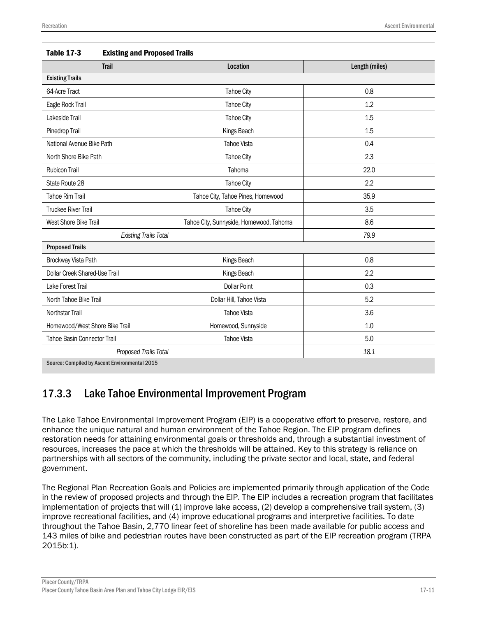| <b>Trail</b>                                  | Location                                | Length (miles) |  |  |
|-----------------------------------------------|-----------------------------------------|----------------|--|--|
| <b>Existing Trails</b>                        |                                         |                |  |  |
| 64-Acre Tract                                 | <b>Tahoe City</b>                       | 0.8            |  |  |
| Eagle Rock Trail                              | <b>Tahoe City</b>                       | 1.2            |  |  |
| Lakeside Trail                                | <b>Tahoe City</b>                       | 1.5            |  |  |
| Pinedrop Trail                                | Kings Beach                             | 1.5            |  |  |
| National Avenue Bike Path                     | <b>Tahoe Vista</b>                      | 0.4            |  |  |
| North Shore Bike Path                         | <b>Tahoe City</b>                       | 2.3            |  |  |
| <b>Rubicon Trail</b>                          | Tahoma                                  | 22.0           |  |  |
| State Route 28                                | <b>Tahoe City</b>                       | 2.2            |  |  |
| <b>Tahoe Rim Trail</b>                        | Tahoe City, Tahoe Pines, Homewood       | 35.9           |  |  |
| <b>Truckee River Trail</b>                    | <b>Tahoe City</b>                       | 3.5            |  |  |
| West Shore Bike Trail                         | Tahoe City, Sunnyside, Homewood, Tahoma | 8.6            |  |  |
| <b>Existing Trails Total</b>                  |                                         | 79.9           |  |  |
| <b>Proposed Trails</b>                        |                                         |                |  |  |
| Brockway Vista Path                           | Kings Beach                             | 0.8            |  |  |
| Dollar Creek Shared-Use Trail                 | Kings Beach                             | 2.2            |  |  |
| Lake Forest Trail                             | <b>Dollar Point</b>                     | 0.3            |  |  |
| North Tahoe Bike Trail                        | Dollar Hill, Tahoe Vista                | 5.2            |  |  |
| Northstar Trail                               | <b>Tahoe Vista</b>                      | 3.6            |  |  |
| Homewood/West Shore Bike Trail                | Homewood, Sunnyside                     | 1.0            |  |  |
| Tahoe Basin Connector Trail                   | <b>Tahoe Vista</b>                      | 5.0            |  |  |
| Proposed Trails Total                         |                                         | 18.1           |  |  |
| Source: Compiled by Ascent Environmental 2015 |                                         |                |  |  |

# 17.3.3 Lake Tahoe Environmental Improvement Program

The Lake Tahoe Environmental Improvement Program (EIP) is a cooperative effort to preserve, restore, and enhance the unique natural and human environment of the Tahoe Region. The EIP program defines restoration needs for attaining environmental goals or thresholds and, through a substantial investment of resources, increases the pace at which the thresholds will be attained. Key to this strategy is reliance on partnerships with all sectors of the community, including the private sector and local, state, and federal government.

The Regional Plan Recreation Goals and Policies are implemented primarily through application of the Code in the review of proposed projects and through the EIP. The EIP includes a recreation program that facilitates implementation of projects that will (1) improve lake access, (2) develop a comprehensive trail system, (3) improve recreational facilities, and (4) improve educational programs and interpretive facilities. To date throughout the Tahoe Basin, 2,770 linear feet of shoreline has been made available for public access and 143 miles of bike and pedestrian routes have been constructed as part of the EIP recreation program (TRPA 2015b:1).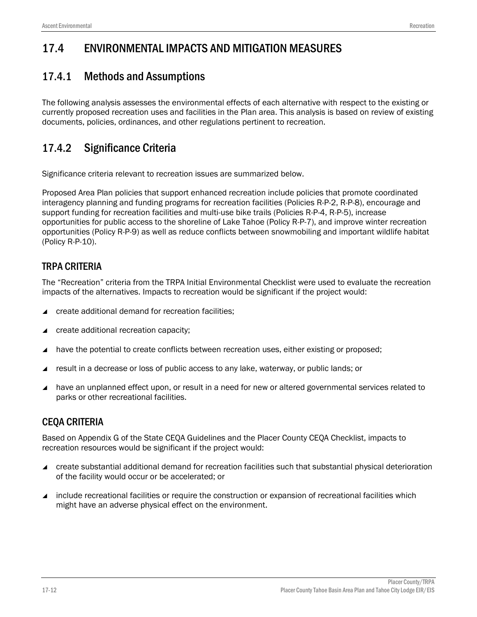# 17.4 ENVIRONMENTAL IMPACTS AND MITIGATION MEASURES

# 17.4.1 Methods and Assumptions

The following analysis assesses the environmental effects of each alternative with respect to the existing or currently proposed recreation uses and facilities in the Plan area. This analysis is based on review of existing documents, policies, ordinances, and other regulations pertinent to recreation.

# 17.4.2 Significance Criteria

Significance criteria relevant to recreation issues are summarized below.

Proposed Area Plan policies that support enhanced recreation include policies that promote coordinated interagency planning and funding programs for recreation facilities (Policies R-P-2, R-P-8), encourage and support funding for recreation facilities and multi-use bike trails (Policies R-P-4, R-P-5), increase opportunities for public access to the shoreline of Lake Tahoe (Policy R-P-7), and improve winter recreation opportunities (Policy R-P-9) as well as reduce conflicts between snowmobiling and important wildlife habitat (Policy R-P-10).

# TRPA CRITERIA

The "Recreation" criteria from the TRPA Initial Environmental Checklist were used to evaluate the recreation impacts of the alternatives. Impacts to recreation would be significant if the project would:

- create additional demand for recreation facilities;
- create additional recreation capacity;
- $\blacktriangle$  have the potential to create conflicts between recreation uses, either existing or proposed;
- result in a decrease or loss of public access to any lake, waterway, or public lands; or
- have an unplanned effect upon, or result in a need for new or altered governmental services related to parks or other recreational facilities.

## CEQA CRITERIA

Based on Appendix G of the State CEQA Guidelines and the Placer County CEQA Checklist, impacts to recreation resources would be significant if the project would:

- create substantial additional demand for recreation facilities such that substantial physical deterioration of the facility would occur or be accelerated; or
- include recreational facilities or require the construction or expansion of recreational facilities which might have an adverse physical effect on the environment.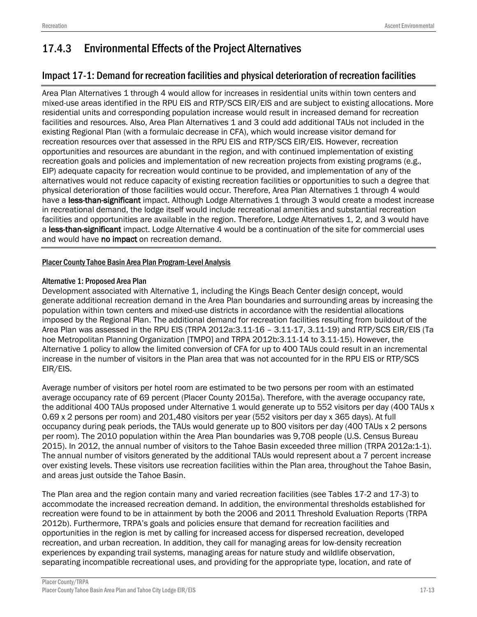# 17.4.3 Environmental Effects of the Project Alternatives

## Impact 17-1: Demand for recreation facilities and physical deterioration of recreation facilities

Area Plan Alternatives 1 through 4 would allow for increases in residential units within town centers and mixed-use areas identified in the RPU EIS and RTP/SCS EIR/EIS and are subject to existing allocations. More residential units and corresponding population increase would result in increased demand for recreation facilities and resources. Also, Area Plan Alternatives 1 and 3 could add additional TAUs not included in the existing Regional Plan (with a formulaic decrease in CFA), which would increase visitor demand for recreation resources over that assessed in the RPU EIS and RTP/SCS EIR/EIS. However, recreation opportunities and resources are abundant in the region, and with continued implementation of existing recreation goals and policies and implementation of new recreation projects from existing programs (e.g., EIP) adequate capacity for recreation would continue to be provided, and implementation of any of the alternatives would not reduce capacity of existing recreation facilities or opportunities to such a degree that physical deterioration of those facilities would occur. Therefore, Area Plan Alternatives 1 through 4 would have a less-than-significant impact. Although Lodge Alternatives 1 through 3 would create a modest increase in recreational demand, the lodge itself would include recreational amenities and substantial recreation facilities and opportunities are available in the region. Therefore, Lodge Alternatives 1, 2, and 3 would have a less-than-significant impact. Lodge Alternative 4 would be a continuation of the site for commercial uses and would have no impact on recreation demand.

### Placer County Tahoe Basin Area Plan Program-Level Analysis

### Alternative 1: Proposed Area Plan

Development associated with Alternative 1, including the Kings Beach Center design concept, would generate additional recreation demand in the Area Plan boundaries and surrounding areas by increasing the population within town centers and mixed-use districts in accordance with the residential allocations imposed by the Regional Plan. The additional demand for recreation facilities resulting from buildout of the Area Plan was assessed in the RPU EIS (TRPA 2012a:3.11-16 – 3.11-17, 3.11-19) and RTP/SCS EIR/EIS (Ta hoe Metropolitan Planning Organization [TMPO] and TRPA 2012b:3.11-14 to 3.11-15). However, the Alternative 1 policy to allow the limited conversion of CFA for up to 400 TAUs could result in an incremental increase in the number of visitors in the Plan area that was not accounted for in the RPU EIS or RTP/SCS EIR/EIS.

Average number of visitors per hotel room are estimated to be two persons per room with an estimated average occupancy rate of 69 percent (Placer County 2015a). Therefore, with the average occupancy rate, the additional 400 TAUs proposed under Alternative 1 would generate up to 552 visitors per day (400 TAUs x 0.69 x 2 persons per room) and 201,480 visitors per year (552 visitors per day x 365 days). At full occupancy during peak periods, the TAUs would generate up to 800 visitors per day (400 TAUs x 2 persons per room). The 2010 population within the Area Plan boundaries was 9,708 people (U.S. Census Bureau 2015). In 2012, the annual number of visitors to the Tahoe Basin exceeded three million (TRPA 2012a:1-1). The annual number of visitors generated by the additional TAUs would represent about a 7 percent increase over existing levels. These visitors use recreation facilities within the Plan area, throughout the Tahoe Basin, and areas just outside the Tahoe Basin.

The Plan area and the region contain many and varied recreation facilities (see Tables 17-2 and 17-3) to accommodate the increased recreation demand. In addition, the environmental thresholds established for recreation were found to be in attainment by both the 2006 and 2011 Threshold Evaluation Reports (TRPA 2012b). Furthermore, TRPA's goals and policies ensure that demand for recreation facilities and opportunities in the region is met by calling for increased access for dispersed recreation, developed recreation, and urban recreation. In addition, they call for managing areas for low-density recreation experiences by expanding trail systems, managing areas for nature study and wildlife observation, separating incompatible recreational uses, and providing for the appropriate type, location, and rate of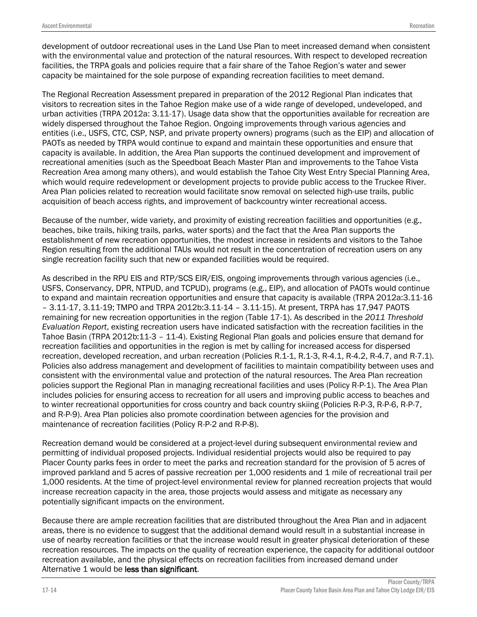development of outdoor recreational uses in the Land Use Plan to meet increased demand when consistent with the environmental value and protection of the natural resources. With respect to developed recreation facilities, the TRPA goals and policies require that a fair share of the Tahoe Region's water and sewer capacity be maintained for the sole purpose of expanding recreation facilities to meet demand.

The Regional Recreation Assessment prepared in preparation of the 2012 Regional Plan indicates that visitors to recreation sites in the Tahoe Region make use of a wide range of developed, undeveloped, and urban activities (TRPA 2012a: 3.11-17). Usage data show that the opportunities available for recreation are widely dispersed throughout the Tahoe Region. Ongoing improvements through various agencies and entities (i.e., USFS, CTC, CSP, NSP, and private property owners) programs (such as the EIP) and allocation of PAOTs as needed by TRPA would continue to expand and maintain these opportunities and ensure that capacity is available. In addition, the Area Plan supports the continued development and improvement of recreational amenities (such as the Speedboat Beach Master Plan and improvements to the Tahoe Vista Recreation Area among many others), and would establish the Tahoe City West Entry Special Planning Area, which would require redevelopment or development projects to provide public access to the Truckee River. Area Plan policies related to recreation would facilitate snow removal on selected high-use trails, public acquisition of beach access rights, and improvement of backcountry winter recreational access.

Because of the number, wide variety, and proximity of existing recreation facilities and opportunities (e.g., beaches, bike trails, hiking trails, parks, water sports) and the fact that the Area Plan supports the establishment of new recreation opportunities, the modest increase in residents and visitors to the Tahoe Region resulting from the additional TAUs would not result in the concentration of recreation users on any single recreation facility such that new or expanded facilities would be required.

As described in the RPU EIS and RTP/SCS EIR/EIS, ongoing improvements through various agencies (i.e., USFS, Conservancy, DPR, NTPUD, and TCPUD), programs (e.g., EIP), and allocation of PAOTs would continue to expand and maintain recreation opportunities and ensure that capacity is available (TRPA 2012a:3.11-16 – 3.11-17, 3.11-19; TMPO and TRPA 2012b:3.11-14 – 3.11-15). At present, TRPA has 17,947 PAOTS remaining for new recreation opportunities in the region (Table 17-1). As described in the *2011 Threshold Evaluation Report*, existing recreation users have indicated satisfaction with the recreation facilities in the Tahoe Basin (TRPA 2012b:11-3 – 11-4). Existing Regional Plan goals and policies ensure that demand for recreation facilities and opportunities in the region is met by calling for increased access for dispersed recreation, developed recreation, and urban recreation (Policies R.1-1, R.1-3, R-4.1, R-4.2, R-4.7, and R-7.1). Policies also address management and development of facilities to maintain compatibility between uses and consistent with the environmental value and protection of the natural resources. The Area Plan recreation policies support the Regional Plan in managing recreational facilities and uses (Policy R-P-1). The Area Plan includes policies for ensuring access to recreation for all users and improving public access to beaches and to winter recreational opportunities for cross country and back country skiing (Policies R-P-3, R-P-6, R-P-7, and R-P-9). Area Plan policies also promote coordination between agencies for the provision and maintenance of recreation facilities (Policy R-P-2 and R-P-8).

Recreation demand would be considered at a project-level during subsequent environmental review and permitting of individual proposed projects. Individual residential projects would also be required to pay Placer County parks fees in order to meet the parks and recreation standard for the provision of 5 acres of improved parkland and 5 acres of passive recreation per 1,000 residents and 1 mile of recreational trail per 1,000 residents. At the time of project-level environmental review for planned recreation projects that would increase recreation capacity in the area, those projects would assess and mitigate as necessary any potentially significant impacts on the environment.

Because there are ample recreation facilities that are distributed throughout the Area Plan and in adjacent areas, there is no evidence to suggest that the additional demand would result in a substantial increase in use of nearby recreation facilities or that the increase would result in greater physical deterioration of these recreation resources. The impacts on the quality of recreation experience, the capacity for additional outdoor recreation available, and the physical effects on recreation facilities from increased demand under Alternative 1 would be less than significant.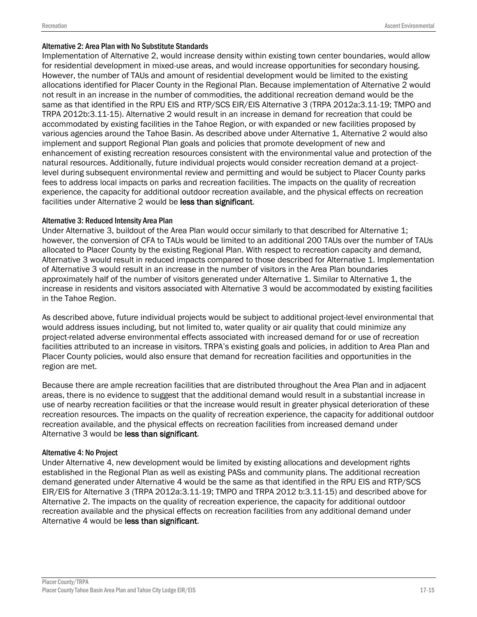#### Alternative 2: Area Plan with No Substitute Standards

Implementation of Alternative 2, would increase density within existing town center boundaries, would allow for residential development in mixed-use areas, and would increase opportunities for secondary housing. However, the number of TAUs and amount of residential development would be limited to the existing allocations identified for Placer County in the Regional Plan. Because implementation of Alternative 2 would not result in an increase in the number of commodities, the additional recreation demand would be the same as that identified in the RPU EIS and RTP/SCS EIR/EIS Alternative 3 (TRPA 2012a:3.11-19; TMPO and TRPA 2012b:3.11-15). Alternative 2 would result in an increase in demand for recreation that could be accommodated by existing facilities in the Tahoe Region, or with expanded or new facilities proposed by various agencies around the Tahoe Basin. As described above under Alternative 1, Alternative 2 would also implement and support Regional Plan goals and policies that promote development of new and enhancement of existing recreation resources consistent with the environmental value and protection of the natural resources. Additionally, future individual projects would consider recreation demand at a projectlevel during subsequent environmental review and permitting and would be subject to Placer County parks fees to address local impacts on parks and recreation facilities. The impacts on the quality of recreation experience, the capacity for additional outdoor recreation available, and the physical effects on recreation facilities under Alternative 2 would be less than significant.

### Alternative 3: Reduced Intensity Area Plan

Under Alternative 3, buildout of the Area Plan would occur similarly to that described for Alternative 1; however, the conversion of CFA to TAUs would be limited to an additional 200 TAUs over the number of TAUs allocated to Placer County by the existing Regional Plan. With respect to recreation capacity and demand, Alternative 3 would result in reduced impacts compared to those described for Alternative 1. Implementation of Alternative 3 would result in an increase in the number of visitors in the Area Plan boundaries approximately half of the number of visitors generated under Alternative 1. Similar to Alternative 1, the increase in residents and visitors associated with Alternative 3 would be accommodated by existing facilities in the Tahoe Region.

As described above, future individual projects would be subject to additional project-level environmental that would address issues including, but not limited to, water quality or air quality that could minimize any project-related adverse environmental effects associated with increased demand for or use of recreation facilities attributed to an increase in visitors. TRPA's existing goals and policies, in addition to Area Plan and Placer County policies, would also ensure that demand for recreation facilities and opportunities in the region are met.

Because there are ample recreation facilities that are distributed throughout the Area Plan and in adjacent areas, there is no evidence to suggest that the additional demand would result in a substantial increase in use of nearby recreation facilities or that the increase would result in greater physical deterioration of these recreation resources. The impacts on the quality of recreation experience, the capacity for additional outdoor recreation available, and the physical effects on recreation facilities from increased demand under Alternative 3 would be less than significant.

### Alternative 4: No Project

Under Alternative 4, new development would be limited by existing allocations and development rights established in the Regional Plan as well as existing PASs and community plans. The additional recreation demand generated under Alternative 4 would be the same as that identified in the RPU EIS and RTP/SCS EIR/EIS for Alternative 3 (TRPA 2012a:3.11-19; TMPO and TRPA 2012 b:3.11-15) and described above for Alternative 2. The impacts on the quality of recreation experience, the capacity for additional outdoor recreation available and the physical effects on recreation facilities from any additional demand under Alternative 4 would be less than significant.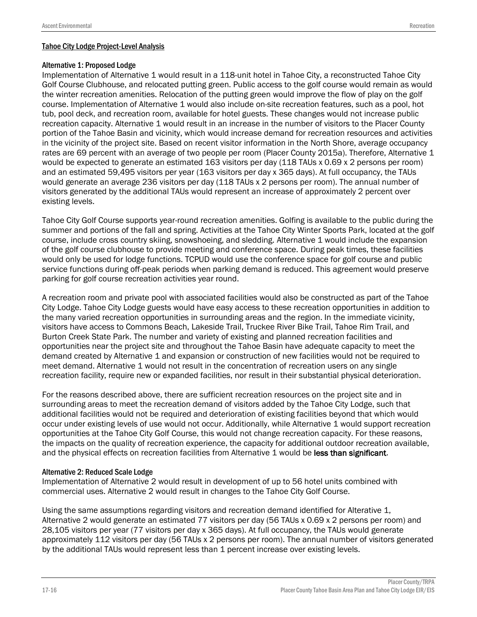#### Alternative 1: Proposed Lodge

Implementation of Alternative 1 would result in a 118-unit hotel in Tahoe City, a reconstructed Tahoe City Golf Course Clubhouse, and relocated putting green. Public access to the golf course would remain as would the winter recreation amenities. Relocation of the putting green would improve the flow of play on the golf course. Implementation of Alternative 1 would also include on-site recreation features, such as a pool, hot tub, pool deck, and recreation room, available for hotel guests. These changes would not increase public recreation capacity. Alternative 1 would result in an increase in the number of visitors to the Placer County portion of the Tahoe Basin and vicinity, which would increase demand for recreation resources and activities in the vicinity of the project site. Based on recent visitor information in the North Shore, average occupancy rates are 69 percent with an average of two people per room (Placer County 2015a). Therefore, Alternative 1 would be expected to generate an estimated 163 visitors per day (118 TAUs x 0.69 x 2 persons per room) and an estimated 59,495 visitors per year (163 visitors per day x 365 days). At full occupancy, the TAUs would generate an average 236 visitors per day (118 TAUs x 2 persons per room). The annual number of visitors generated by the additional TAUs would represent an increase of approximately 2 percent over existing levels.

Tahoe City Golf Course supports year-round recreation amenities. Golfing is available to the public during the summer and portions of the fall and spring. Activities at the Tahoe City Winter Sports Park, located at the golf course, include cross country skiing, snowshoeing, and sledding. Alternative 1 would include the expansion of the golf course clubhouse to provide meeting and conference space. During peak times, these facilities would only be used for lodge functions. TCPUD would use the conference space for golf course and public service functions during off-peak periods when parking demand is reduced. This agreement would preserve parking for golf course recreation activities year round.

A recreation room and private pool with associated facilities would also be constructed as part of the Tahoe City Lodge. Tahoe City Lodge guests would have easy access to these recreation opportunities in addition to the many varied recreation opportunities in surrounding areas and the region. In the immediate vicinity, visitors have access to Commons Beach, Lakeside Trail, Truckee River Bike Trail, Tahoe Rim Trail, and Burton Creek State Park. The number and variety of existing and planned recreation facilities and opportunities near the project site and throughout the Tahoe Basin have adequate capacity to meet the demand created by Alternative 1 and expansion or construction of new facilities would not be required to meet demand. Alternative 1 would not result in the concentration of recreation users on any single recreation facility, require new or expanded facilities, nor result in their substantial physical deterioration.

For the reasons described above, there are sufficient recreation resources on the project site and in surrounding areas to meet the recreation demand of visitors added by the Tahoe City Lodge, such that additional facilities would not be required and deterioration of existing facilities beyond that which would occur under existing levels of use would not occur. Additionally, while Alternative 1 would support recreation opportunities at the Tahoe City Golf Course, this would not change recreation capacity. For these reasons, the impacts on the quality of recreation experience, the capacity for additional outdoor recreation available, and the physical effects on recreation facilities from Alternative 1 would be less than significant.

### Alternative 2: Reduced Scale Lodge

Implementation of Alternative 2 would result in development of up to 56 hotel units combined with commercial uses. Alternative 2 would result in changes to the Tahoe City Golf Course.

Using the same assumptions regarding visitors and recreation demand identified for Alterative 1, Alternative 2 would generate an estimated 77 visitors per day (56 TAUs x 0.69 x 2 persons per room) and 28,105 visitors per year (77 visitors per day x 365 days). At full occupancy, the TAUs would generate approximately 112 visitors per day (56 TAUs x 2 persons per room). The annual number of visitors generated by the additional TAUs would represent less than 1 percent increase over existing levels.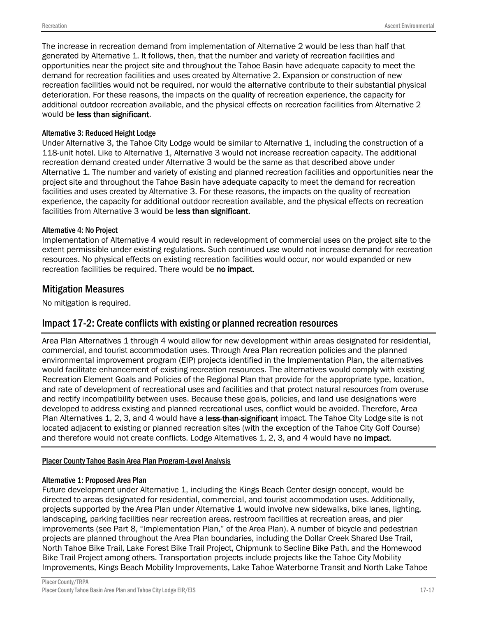The increase in recreation demand from implementation of Alternative 2 would be less than half that generated by Alternative 1. It follows, then, that the number and variety of recreation facilities and opportunities near the project site and throughout the Tahoe Basin have adequate capacity to meet the demand for recreation facilities and uses created by Alternative 2. Expansion or construction of new recreation facilities would not be required, nor would the alternative contribute to their substantial physical deterioration. For these reasons, the impacts on the quality of recreation experience, the capacity for additional outdoor recreation available, and the physical effects on recreation facilities from Alternative 2 would be less than significant.

### Alternative 3: Reduced Height Lodge

Under Alternative 3, the Tahoe City Lodge would be similar to Alternative 1, including the construction of a 118-unit hotel. Like to Alternative 1, Alternative 3 would not increase recreation capacity. The additional recreation demand created under Alternative 3 would be the same as that described above under Alternative 1. The number and variety of existing and planned recreation facilities and opportunities near the project site and throughout the Tahoe Basin have adequate capacity to meet the demand for recreation facilities and uses created by Alternative 3. For these reasons, the impacts on the quality of recreation experience, the capacity for additional outdoor recreation available, and the physical effects on recreation facilities from Alternative 3 would be less than significant.

#### Alternative 4: No Project

Implementation of Alternative 4 would result in redevelopment of commercial uses on the project site to the extent permissible under existing regulations. Such continued use would not increase demand for recreation resources. No physical effects on existing recreation facilities would occur, nor would expanded or new recreation facilities be required. There would be no impact.

## Mitigation Measures

No mitigation is required.

## Impact 17-2: Create conflicts with existing or planned recreation resources

Area Plan Alternatives 1 through 4 would allow for new development within areas designated for residential, commercial, and tourist accommodation uses. Through Area Plan recreation policies and the planned environmental improvement program (EIP) projects identified in the Implementation Plan, the alternatives would facilitate enhancement of existing recreation resources. The alternatives would comply with existing Recreation Element Goals and Policies of the Regional Plan that provide for the appropriate type, location, and rate of development of recreational uses and facilities and that protect natural resources from overuse and rectify incompatibility between uses. Because these goals, policies, and land use designations were developed to address existing and planned recreational uses, conflict would be avoided. Therefore, Area Plan Alternatives 1, 2, 3, and 4 would have a less-than-significant impact. The Tahoe City Lodge site is not located adjacent to existing or planned recreation sites (with the exception of the Tahoe City Golf Course) and therefore would not create conflicts. Lodge Alternatives 1, 2, 3, and 4 would have no impact.

### Placer County Tahoe Basin Area Plan Program-Level Analysis

#### Alternative 1: Proposed Area Plan

Future development under Alternative 1, including the Kings Beach Center design concept, would be directed to areas designated for residential, commercial, and tourist accommodation uses. Additionally, projects supported by the Area Plan under Alternative 1 would involve new sidewalks, bike lanes, lighting, landscaping, parking facilities near recreation areas, restroom facilities at recreation areas, and pier improvements (see Part 8, "Implementation Plan," of the Area Plan). A number of bicycle and pedestrian projects are planned throughout the Area Plan boundaries, including the Dollar Creek Shared Use Trail, North Tahoe Bike Trail, Lake Forest Bike Trail Project, Chipmunk to Secline Bike Path, and the Homewood Bike Trail Project among others. Transportation projects include projects like the Tahoe City Mobility Improvements, Kings Beach Mobility Improvements, Lake Tahoe Waterborne Transit and North Lake Tahoe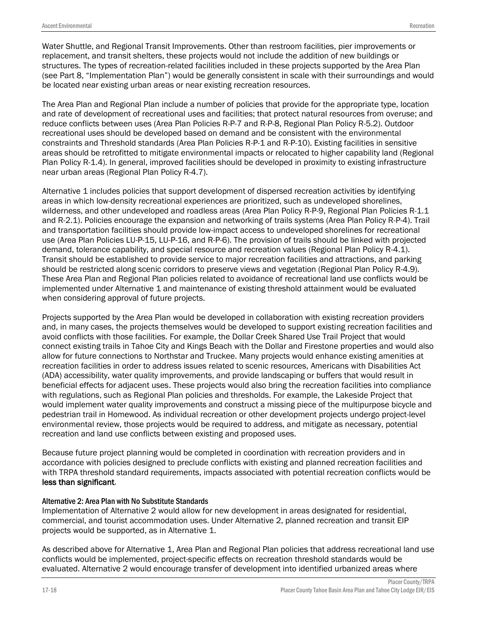Water Shuttle, and Regional Transit Improvements. Other than restroom facilities, pier improvements or replacement, and transit shelters, these projects would not include the addition of new buildings or structures. The types of recreation-related facilities included in these projects supported by the Area Plan (see Part 8, "Implementation Plan") would be generally consistent in scale with their surroundings and would be located near existing urban areas or near existing recreation resources.

The Area Plan and Regional Plan include a number of policies that provide for the appropriate type, location and rate of development of recreational uses and facilities; that protect natural resources from overuse; and reduce conflicts between uses (Area Plan Policies R-P-7 and R-P-8, Regional Plan Policy R-5.2). Outdoor recreational uses should be developed based on demand and be consistent with the environmental constraints and Threshold standards (Area Plan Policies R-P-1 and R-P-10). Existing facilities in sensitive areas should be retrofitted to mitigate environmental impacts or relocated to higher capability land (Regional Plan Policy R-1.4). In general, improved facilities should be developed in proximity to existing infrastructure near urban areas (Regional Plan Policy R-4.7).

Alternative 1 includes policies that support development of dispersed recreation activities by identifying areas in which low-density recreational experiences are prioritized, such as undeveloped shorelines, wilderness, and other undeveloped and roadless areas (Area Plan Policy R-P-9, Regional Plan Policies R-1.1 and R-2.1). Policies encourage the expansion and networking of trails systems (Area Plan Policy R-P-4). Trail and transportation facilities should provide low-impact access to undeveloped shorelines for recreational use (Area Plan Policies LU-P-15, LU-P-16, and R-P-6). The provision of trails should be linked with projected demand, tolerance capability, and special resource and recreation values (Regional Plan Policy R-4.1). Transit should be established to provide service to major recreation facilities and attractions, and parking should be restricted along scenic corridors to preserve views and vegetation (Regional Plan Policy R-4.9). These Area Plan and Regional Plan policies related to avoidance of recreational land use conflicts would be implemented under Alternative 1 and maintenance of existing threshold attainment would be evaluated when considering approval of future projects.

Projects supported by the Area Plan would be developed in collaboration with existing recreation providers and, in many cases, the projects themselves would be developed to support existing recreation facilities and avoid conflicts with those facilities. For example, the Dollar Creek Shared Use Trail Project that would connect existing trails in Tahoe City and Kings Beach with the Dollar and Firestone properties and would also allow for future connections to Northstar and Truckee. Many projects would enhance existing amenities at recreation facilities in order to address issues related to scenic resources, Americans with Disabilities Act (ADA) accessibility, water quality improvements, and provide landscaping or buffers that would result in beneficial effects for adjacent uses. These projects would also bring the recreation facilities into compliance with regulations, such as Regional Plan policies and thresholds. For example, the Lakeside Project that would implement water quality improvements and construct a missing piece of the multipurpose bicycle and pedestrian trail in Homewood. As individual recreation or other development projects undergo project-level environmental review, those projects would be required to address, and mitigate as necessary, potential recreation and land use conflicts between existing and proposed uses.

Because future project planning would be completed in coordination with recreation providers and in accordance with policies designed to preclude conflicts with existing and planned recreation facilities and with TRPA threshold standard requirements, impacts associated with potential recreation conflicts would be less than significant.

### Alternative 2: Area Plan with No Substitute Standards

Implementation of Alternative 2 would allow for new development in areas designated for residential, commercial, and tourist accommodation uses. Under Alternative 2, planned recreation and transit EIP projects would be supported, as in Alternative 1.

As described above for Alternative 1, Area Plan and Regional Plan policies that address recreational land use conflicts would be implemented, project-specific effects on recreation threshold standards would be evaluated. Alternative 2 would encourage transfer of development into identified urbanized areas where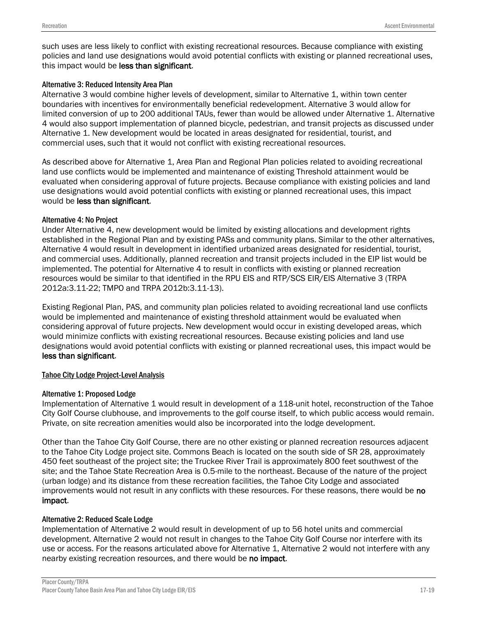such uses are less likely to conflict with existing recreational resources. Because compliance with existing policies and land use designations would avoid potential conflicts with existing or planned recreational uses, this impact would be less than significant.

### Alternative 3: Reduced Intensity Area Plan

Alternative 3 would combine higher levels of development, similar to Alternative 1, within town center boundaries with incentives for environmentally beneficial redevelopment. Alternative 3 would allow for limited conversion of up to 200 additional TAUs, fewer than would be allowed under Alternative 1. Alternative 4 would also support implementation of planned bicycle, pedestrian, and transit projects as discussed under Alternative 1. New development would be located in areas designated for residential, tourist, and commercial uses, such that it would not conflict with existing recreational resources.

As described above for Alternative 1, Area Plan and Regional Plan policies related to avoiding recreational land use conflicts would be implemented and maintenance of existing Threshold attainment would be evaluated when considering approval of future projects. Because compliance with existing policies and land use designations would avoid potential conflicts with existing or planned recreational uses, this impact would be less than significant.

### Alternative 4: No Project

Under Alternative 4, new development would be limited by existing allocations and development rights established in the Regional Plan and by existing PASs and community plans. Similar to the other alternatives, Alternative 4 would result in development in identified urbanized areas designated for residential, tourist, and commercial uses. Additionally, planned recreation and transit projects included in the EIP list would be implemented. The potential for Alternative 4 to result in conflicts with existing or planned recreation resources would be similar to that identified in the RPU EIS and RTP/SCS EIR/EIS Alternative 3 (TRPA 2012a:3.11-22; TMPO and TRPA 2012b:3.11-13).

Existing Regional Plan, PAS, and community plan policies related to avoiding recreational land use conflicts would be implemented and maintenance of existing threshold attainment would be evaluated when considering approval of future projects. New development would occur in existing developed areas, which would minimize conflicts with existing recreational resources. Because existing policies and land use designations would avoid potential conflicts with existing or planned recreational uses, this impact would be less than significant.

### Tahoe City Lodge Project-Level Analysis

#### Alternative 1: Proposed Lodge

Implementation of Alternative 1 would result in development of a 118-unit hotel, reconstruction of the Tahoe City Golf Course clubhouse, and improvements to the golf course itself, to which public access would remain. Private, on site recreation amenities would also be incorporated into the lodge development.

Other than the Tahoe City Golf Course, there are no other existing or planned recreation resources adjacent to the Tahoe City Lodge project site. Commons Beach is located on the south side of SR 28, approximately 450 feet southeast of the project site; the Truckee River Trail is approximately 800 feet southwest of the site; and the Tahoe State Recreation Area is 0.5-mile to the northeast. Because of the nature of the project (urban lodge) and its distance from these recreation facilities, the Tahoe City Lodge and associated improvements would not result in any conflicts with these resources. For these reasons, there would be no impact.

### Alternative 2: Reduced Scale Lodge

Implementation of Alternative 2 would result in development of up to 56 hotel units and commercial development. Alternative 2 would not result in changes to the Tahoe City Golf Course nor interfere with its use or access. For the reasons articulated above for Alternative 1, Alternative 2 would not interfere with any nearby existing recreation resources, and there would be no impact.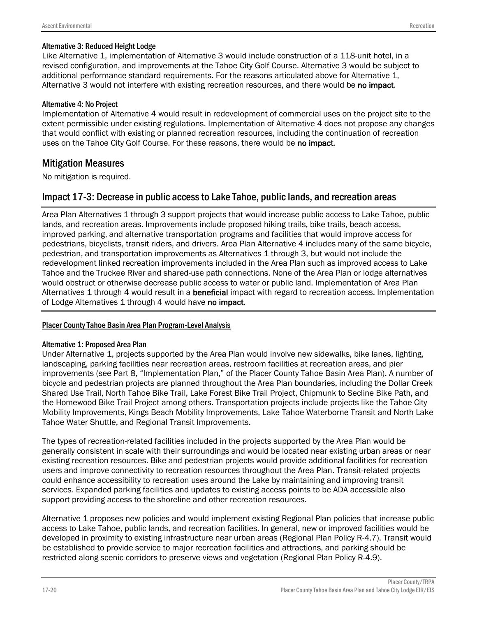### Alternative 3: Reduced Height Lodge

Like Alternative 1, implementation of Alternative 3 would include construction of a 118-unit hotel, in a revised configuration, and improvements at the Tahoe City Golf Course. Alternative 3 would be subject to additional performance standard requirements. For the reasons articulated above for Alternative 1, Alternative 3 would not interfere with existing recreation resources, and there would be no impact.

### Alternative 4: No Project

Implementation of Alternative 4 would result in redevelopment of commercial uses on the project site to the extent permissible under existing regulations. Implementation of Alternative 4 does not propose any changes that would conflict with existing or planned recreation resources, including the continuation of recreation uses on the Tahoe City Golf Course. For these reasons, there would be no impact.

## Mitigation Measures

No mitigation is required.

## Impact 17-3: Decrease in public access to Lake Tahoe, public lands, and recreation areas

Area Plan Alternatives 1 through 3 support projects that would increase public access to Lake Tahoe, public lands, and recreation areas. Improvements include proposed hiking trails, bike trails, beach access, improved parking, and alternative transportation programs and facilities that would improve access for pedestrians, bicyclists, transit riders, and drivers. Area Plan Alternative 4 includes many of the same bicycle, pedestrian, and transportation improvements as Alternatives 1 through 3, but would not include the redevelopment linked recreation improvements included in the Area Plan such as improved access to Lake Tahoe and the Truckee River and shared-use path connections. None of the Area Plan or lodge alternatives would obstruct or otherwise decrease public access to water or public land. Implementation of Area Plan Alternatives 1 through 4 would result in a beneficial impact with regard to recreation access. Implementation of Lodge Alternatives 1 through 4 would have no impact.

### Placer County Tahoe Basin Area Plan Program-Level Analysis

#### Alternative 1: Proposed Area Plan

Under Alternative 1, projects supported by the Area Plan would involve new sidewalks, bike lanes, lighting, landscaping, parking facilities near recreation areas, restroom facilities at recreation areas, and pier improvements (see Part 8, "Implementation Plan," of the Placer County Tahoe Basin Area Plan). A number of bicycle and pedestrian projects are planned throughout the Area Plan boundaries, including the Dollar Creek Shared Use Trail, North Tahoe Bike Trail, Lake Forest Bike Trail Project, Chipmunk to Secline Bike Path, and the Homewood Bike Trail Project among others. Transportation projects include projects like the Tahoe City Mobility Improvements, Kings Beach Mobility Improvements, Lake Tahoe Waterborne Transit and North Lake Tahoe Water Shuttle, and Regional Transit Improvements.

The types of recreation-related facilities included in the projects supported by the Area Plan would be generally consistent in scale with their surroundings and would be located near existing urban areas or near existing recreation resources. Bike and pedestrian projects would provide additional facilities for recreation users and improve connectivity to recreation resources throughout the Area Plan. Transit-related projects could enhance accessibility to recreation uses around the Lake by maintaining and improving transit services. Expanded parking facilities and updates to existing access points to be ADA accessible also support providing access to the shoreline and other recreation resources.

Alternative 1 proposes new policies and would implement existing Regional Plan policies that increase public access to Lake Tahoe, public lands, and recreation facilities. In general, new or improved facilities would be developed in proximity to existing infrastructure near urban areas (Regional Plan Policy R-4.7). Transit would be established to provide service to major recreation facilities and attractions, and parking should be restricted along scenic corridors to preserve views and vegetation (Regional Plan Policy R-4.9).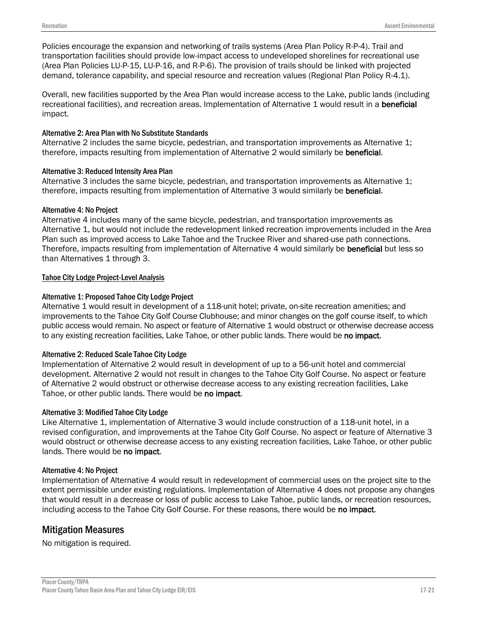Policies encourage the expansion and networking of trails systems (Area Plan Policy R-P-4). Trail and transportation facilities should provide low-impact access to undeveloped shorelines for recreational use (Area Plan Policies LU-P-15, LU-P-16, and R-P-6). The provision of trails should be linked with projected demand, tolerance capability, and special resource and recreation values (Regional Plan Policy R-4.1).

Overall, new facilities supported by the Area Plan would increase access to the Lake, public lands (including recreational facilities), and recreation areas. Implementation of Alternative 1 would result in a **beneficial** impact.

### Alternative 2: Area Plan with No Substitute Standards

Alternative 2 includes the same bicycle, pedestrian, and transportation improvements as Alternative 1; therefore, impacts resulting from implementation of Alternative 2 would similarly be **beneficial**.

### Alternative 3: Reduced Intensity Area Plan

Alternative 3 includes the same bicycle, pedestrian, and transportation improvements as Alternative 1; therefore, impacts resulting from implementation of Alternative 3 would similarly be **beneficial**.

### Alternative 4: No Project

Alternative 4 includes many of the same bicycle, pedestrian, and transportation improvements as Alternative 1, but would not include the redevelopment linked recreation improvements included in the Area Plan such as improved access to Lake Tahoe and the Truckee River and shared-use path connections. Therefore, impacts resulting from implementation of Alternative 4 would similarly be **beneficial** but less so than Alternatives 1 through 3.

### Tahoe City Lodge Project-Level Analysis

### Alternative 1: Proposed Tahoe City Lodge Project

Alternative 1 would result in development of a 118-unit hotel; private, on-site recreation amenities; and improvements to the Tahoe City Golf Course Clubhouse; and minor changes on the golf course itself, to which public access would remain. No aspect or feature of Alternative 1 would obstruct or otherwise decrease access to any existing recreation facilities, Lake Tahoe, or other public lands. There would be no impact.

#### Alternative 2: Reduced Scale Tahoe City Lodge

Implementation of Alternative 2 would result in development of up to a 56-unit hotel and commercial development. Alternative 2 would not result in changes to the Tahoe City Golf Course. No aspect or feature of Alternative 2 would obstruct or otherwise decrease access to any existing recreation facilities, Lake Tahoe, or other public lands. There would be no impact.

#### Alternative 3: Modified Tahoe City Lodge

Like Alternative 1, implementation of Alternative 3 would include construction of a 118-unit hotel, in a revised configuration, and improvements at the Tahoe City Golf Course. No aspect or feature of Alternative 3 would obstruct or otherwise decrease access to any existing recreation facilities, Lake Tahoe, or other public lands. There would be no impact.

#### Alternative 4: No Project

Implementation of Alternative 4 would result in redevelopment of commercial uses on the project site to the extent permissible under existing regulations. Implementation of Alternative 4 does not propose any changes that would result in a decrease or loss of public access to Lake Tahoe, public lands, or recreation resources, including access to the Tahoe City Golf Course. For these reasons, there would be no impact.

## Mitigation Measures

No mitigation is required.